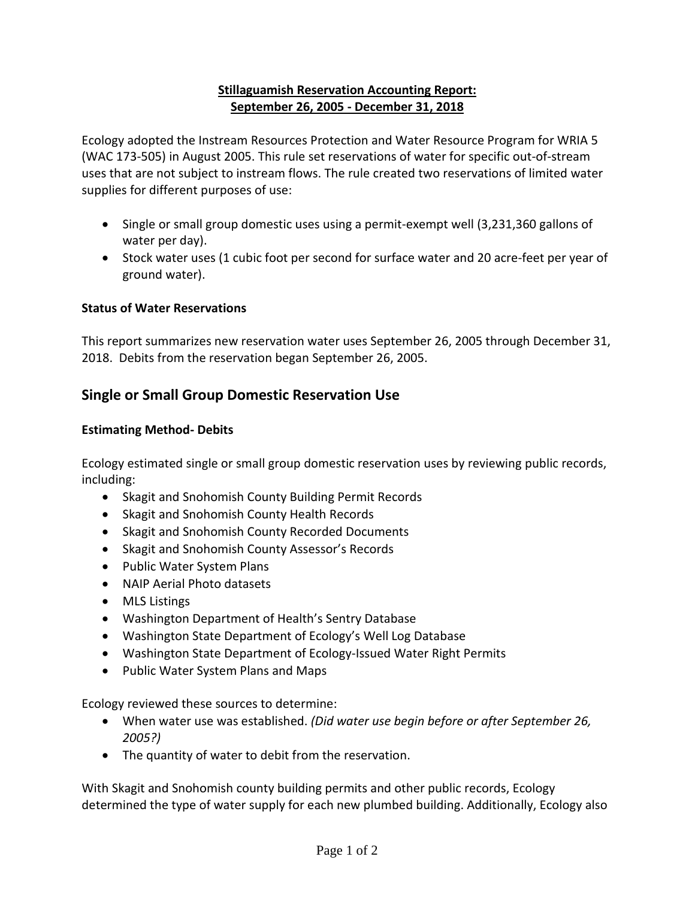### **Stillaguamish Reservation Accounting Report: September 26, 2005 - December 31, 2018**

Ecology adopted the Instream Resources Protection and Water Resource Program for WRIA 5 (WAC 173-505) in August 2005. This rule set reservations of water for specific out-of-stream uses that are not subject to instream flows. The rule created two reservations of limited water supplies for different purposes of use:

- Single or small group domestic uses using a permit-exempt well (3,231,360 gallons of water per day).
- Stock water uses (1 cubic foot per second for surface water and 20 acre-feet per year of ground water).

## **Status of Water Reservations**

This report summarizes new reservation water uses September 26, 2005 through December 31, 2018. Debits from the reservation began September 26, 2005.

# **Single or Small Group Domestic Reservation Use**

#### **Estimating Method- Debits**

Ecology estimated single or small group domestic reservation uses by reviewing public records, including:

- Skagit and Snohomish County Building Permit Records
- Skagit and Snohomish County Health Records
- Skagit and Snohomish County Recorded Documents
- Skagit and Snohomish County Assessor's Records
- Public Water System Plans
- NAIP Aerial Photo datasets
- MLS Listings
- Washington Department of Health's Sentry Database
- Washington State Department of Ecology's Well Log Database
- Washington State Department of Ecology-Issued Water Right Permits
- Public Water System Plans and Maps

Ecology reviewed these sources to determine:

- When water use was established. *(Did water use begin before or after September 26, 2005?)*
- The quantity of water to debit from the reservation.

With Skagit and Snohomish county building permits and other public records, Ecology determined the type of water supply for each new plumbed building. Additionally, Ecology also